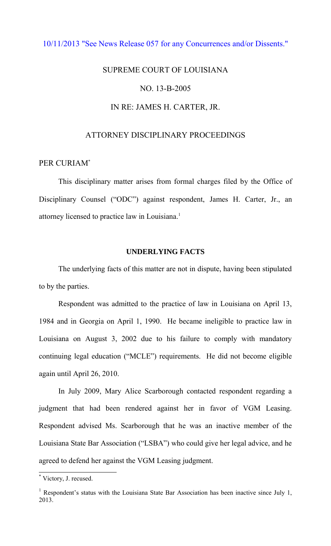## [10/11/2013 "See News Release 057 for any Concurrences and/or Dissents."](http://www.lasc.org/Actions?p=2013-057)

# SUPREME COURT OF LOUISIANA NO. 13-B-2005 IN RE: JAMES H. CARTER, JR.

## ATTORNEY DISCIPLINARY PROCEEDINGS

## PER CURIAM\*

 This disciplinary matter arises from formal charges filed by the Office of Disciplinary Counsel ("ODC") against respondent, James H. Carter, Jr., an attorney licensed to practice law in Louisiana.<sup>1</sup>

## **UNDERLYING FACTS**

 The underlying facts of this matter are not in dispute, having been stipulated to by the parties.

 Respondent was admitted to the practice of law in Louisiana on April 13, 1984 and in Georgia on April 1, 1990. He became ineligible to practice law in Louisiana on August 3, 2002 due to his failure to comply with mandatory continuing legal education ("MCLE") requirements. He did not become eligible again until April 26, 2010.

 In July 2009, Mary Alice Scarborough contacted respondent regarding a judgment that had been rendered against her in favor of VGM Leasing. Respondent advised Ms. Scarborough that he was an inactive member of the Louisiana State Bar Association ("LSBA") who could give her legal advice, and he agreed to defend her against the VGM Leasing judgment.

 $\overline{a}$ 

<sup>\*</sup> Victory, J. recused.

<sup>&</sup>lt;sup>1</sup> Respondent's status with the Louisiana State Bar Association has been inactive since July 1, 2013.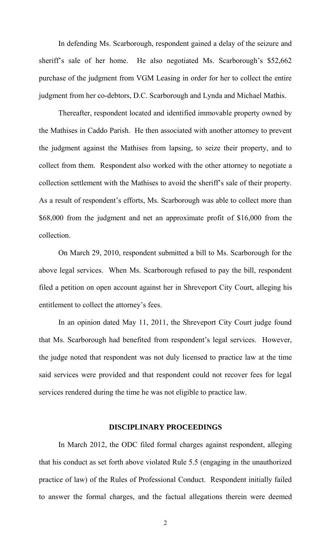In defending Ms. Scarborough, respondent gained a delay of the seizure and sheriff's sale of her home. He also negotiated Ms. Scarborough's \$52,662 purchase of the judgment from VGM Leasing in order for her to collect the entire judgment from her co-debtors, D.C. Scarborough and Lynda and Michael Mathis.

 Thereafter, respondent located and identified immovable property owned by the Mathises in Caddo Parish. He then associated with another attorney to prevent the judgment against the Mathises from lapsing, to seize their property, and to collect from them. Respondent also worked with the other attorney to negotiate a collection settlement with the Mathises to avoid the sheriff's sale of their property. As a result of respondent's efforts, Ms. Scarborough was able to collect more than \$68,000 from the judgment and net an approximate profit of \$16,000 from the collection.

 On March 29, 2010, respondent submitted a bill to Ms. Scarborough for the above legal services. When Ms. Scarborough refused to pay the bill, respondent filed a petition on open account against her in Shreveport City Court, alleging his entitlement to collect the attorney's fees.

 In an opinion dated May 11, 2011, the Shreveport City Court judge found that Ms. Scarborough had benefited from respondent's legal services. However, the judge noted that respondent was not duly licensed to practice law at the time said services were provided and that respondent could not recover fees for legal services rendered during the time he was not eligible to practice law.

#### **DISCIPLINARY PROCEEDINGS**

 In March 2012, the ODC filed formal charges against respondent, alleging that his conduct as set forth above violated Rule 5.5 (engaging in the unauthorized practice of law) of the Rules of Professional Conduct. Respondent initially failed to answer the formal charges, and the factual allegations therein were deemed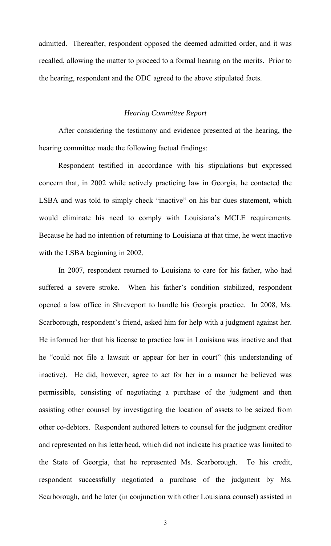admitted. Thereafter, respondent opposed the deemed admitted order, and it was recalled, allowing the matter to proceed to a formal hearing on the merits. Prior to the hearing, respondent and the ODC agreed to the above stipulated facts.

### *Hearing Committee Report*

 After considering the testimony and evidence presented at the hearing, the hearing committee made the following factual findings:

 Respondent testified in accordance with his stipulations but expressed concern that, in 2002 while actively practicing law in Georgia, he contacted the LSBA and was told to simply check "inactive" on his bar dues statement, which would eliminate his need to comply with Louisiana's MCLE requirements. Because he had no intention of returning to Louisiana at that time, he went inactive with the LSBA beginning in 2002.

 In 2007, respondent returned to Louisiana to care for his father, who had suffered a severe stroke. When his father's condition stabilized, respondent opened a law office in Shreveport to handle his Georgia practice. In 2008, Ms. Scarborough, respondent's friend, asked him for help with a judgment against her. He informed her that his license to practice law in Louisiana was inactive and that he "could not file a lawsuit or appear for her in court" (his understanding of inactive). He did, however, agree to act for her in a manner he believed was permissible, consisting of negotiating a purchase of the judgment and then assisting other counsel by investigating the location of assets to be seized from other co-debtors. Respondent authored letters to counsel for the judgment creditor and represented on his letterhead, which did not indicate his practice was limited to the State of Georgia, that he represented Ms. Scarborough. To his credit, respondent successfully negotiated a purchase of the judgment by Ms. Scarborough, and he later (in conjunction with other Louisiana counsel) assisted in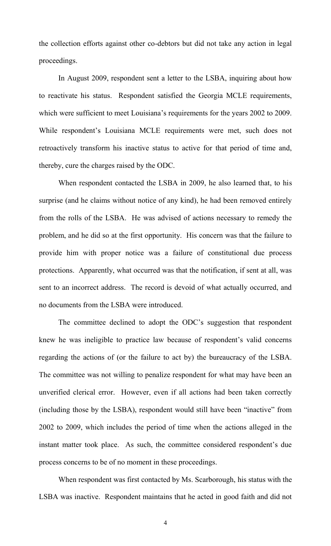the collection efforts against other co-debtors but did not take any action in legal proceedings.

In August 2009, respondent sent a letter to the LSBA, inquiring about how to reactivate his status. Respondent satisfied the Georgia MCLE requirements, which were sufficient to meet Louisiana's requirements for the years 2002 to 2009. While respondent's Louisiana MCLE requirements were met, such does not retroactively transform his inactive status to active for that period of time and, thereby, cure the charges raised by the ODC.

 When respondent contacted the LSBA in 2009, he also learned that, to his surprise (and he claims without notice of any kind), he had been removed entirely from the rolls of the LSBA. He was advised of actions necessary to remedy the problem, and he did so at the first opportunity. His concern was that the failure to provide him with proper notice was a failure of constitutional due process protections. Apparently, what occurred was that the notification, if sent at all, was sent to an incorrect address. The record is devoid of what actually occurred, and no documents from the LSBA were introduced.

The committee declined to adopt the ODC's suggestion that respondent knew he was ineligible to practice law because of respondent's valid concerns regarding the actions of (or the failure to act by) the bureaucracy of the LSBA. The committee was not willing to penalize respondent for what may have been an unverified clerical error. However, even if all actions had been taken correctly (including those by the LSBA), respondent would still have been "inactive" from 2002 to 2009, which includes the period of time when the actions alleged in the instant matter took place. As such, the committee considered respondent's due process concerns to be of no moment in these proceedings.

When respondent was first contacted by Ms. Scarborough, his status with the LSBA was inactive. Respondent maintains that he acted in good faith and did not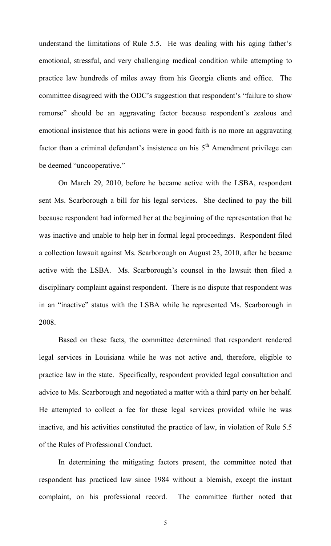understand the limitations of Rule 5.5. He was dealing with his aging father's emotional, stressful, and very challenging medical condition while attempting to practice law hundreds of miles away from his Georgia clients and office. The committee disagreed with the ODC's suggestion that respondent's "failure to show remorse" should be an aggravating factor because respondent's zealous and emotional insistence that his actions were in good faith is no more an aggravating factor than a criminal defendant's insistence on his  $5<sup>th</sup>$  Amendment privilege can be deemed "uncooperative."

On March 29, 2010, before he became active with the LSBA, respondent sent Ms. Scarborough a bill for his legal services. She declined to pay the bill because respondent had informed her at the beginning of the representation that he was inactive and unable to help her in formal legal proceedings. Respondent filed a collection lawsuit against Ms. Scarborough on August 23, 2010, after he became active with the LSBA. Ms. Scarborough's counsel in the lawsuit then filed a disciplinary complaint against respondent. There is no dispute that respondent was in an "inactive" status with the LSBA while he represented Ms. Scarborough in 2008.

 Based on these facts, the committee determined that respondent rendered legal services in Louisiana while he was not active and, therefore, eligible to practice law in the state. Specifically, respondent provided legal consultation and advice to Ms. Scarborough and negotiated a matter with a third party on her behalf. He attempted to collect a fee for these legal services provided while he was inactive, and his activities constituted the practice of law, in violation of Rule 5.5 of the Rules of Professional Conduct.

 In determining the mitigating factors present, the committee noted that respondent has practiced law since 1984 without a blemish, except the instant complaint, on his professional record. The committee further noted that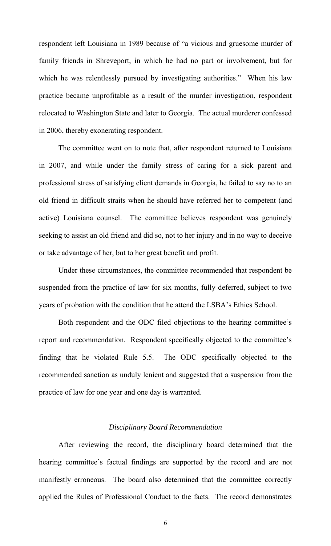respondent left Louisiana in 1989 because of "a vicious and gruesome murder of family friends in Shreveport, in which he had no part or involvement, but for which he was relentlessly pursued by investigating authorities." When his law practice became unprofitable as a result of the murder investigation, respondent relocated to Washington State and later to Georgia. The actual murderer confessed in 2006, thereby exonerating respondent.

 The committee went on to note that, after respondent returned to Louisiana in 2007, and while under the family stress of caring for a sick parent and professional stress of satisfying client demands in Georgia, he failed to say no to an old friend in difficult straits when he should have referred her to competent (and active) Louisiana counsel. The committee believes respondent was genuinely seeking to assist an old friend and did so, not to her injury and in no way to deceive or take advantage of her, but to her great benefit and profit.

 Under these circumstances, the committee recommended that respondent be suspended from the practice of law for six months, fully deferred, subject to two years of probation with the condition that he attend the LSBA's Ethics School.

 Both respondent and the ODC filed objections to the hearing committee's report and recommendation. Respondent specifically objected to the committee's finding that he violated Rule 5.5. The ODC specifically objected to the recommended sanction as unduly lenient and suggested that a suspension from the practice of law for one year and one day is warranted.

## *Disciplinary Board Recommendation*

After reviewing the record, the disciplinary board determined that the hearing committee's factual findings are supported by the record and are not manifestly erroneous. The board also determined that the committee correctly applied the Rules of Professional Conduct to the facts. The record demonstrates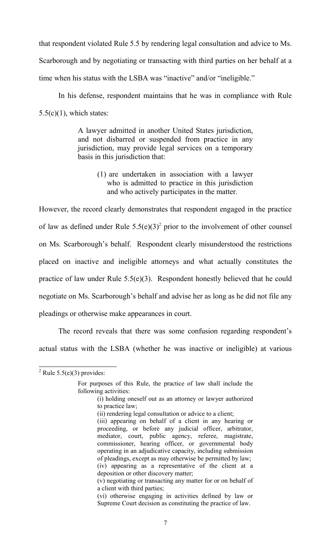that respondent violated Rule 5.5 by rendering legal consultation and advice to Ms.

Scarborough and by negotiating or transacting with third parties on her behalf at a

time when his status with the LSBA was "inactive" and/or "ineligible."

In his defense, respondent maintains that he was in compliance with Rule  $5.5(c)(1)$ , which states:

> A lawyer admitted in another United States jurisdiction, and not disbarred or suspended from practice in any jurisdiction, may provide legal services on a temporary basis in this jurisdiction that:

> > (1) are undertaken in association with a lawyer who is admitted to practice in this jurisdiction and who actively participates in the matter.

However, the record clearly demonstrates that respondent engaged in the practice of law as defined under Rule  $5.5(e)(3)^2$  prior to the involvement of other counsel on Ms. Scarborough's behalf. Respondent clearly misunderstood the restrictions placed on inactive and ineligible attorneys and what actually constitutes the practice of law under Rule 5.5(e)(3). Respondent honestly believed that he could negotiate on Ms. Scarborough's behalf and advise her as long as he did not file any pleadings or otherwise make appearances in court.

 The record reveals that there was some confusion regarding respondent's actual status with the LSBA (whether he was inactive or ineligible) at various

 $\overline{a}$ 

 $2^2$  Rule 5.5(e)(3) provides:

For purposes of this Rule, the practice of law shall include the following activities:

<sup>(</sup>i) holding oneself out as an attorney or lawyer authorized to practice law;

 <sup>(</sup>ii) rendering legal consultation or advice to a client;

<sup>(</sup>iii) appearing on behalf of a client in any hearing or proceeding, or before any judicial officer, arbitrator, mediator, court, public agency, referee, magistrate, commissioner, hearing officer, or governmental body operating in an adjudicative capacity, including submission of pleadings, except as may otherwise be permitted by law; (iv) appearing as a representative of the client at a deposition or other discovery matter; (v) negotiating or transacting any matter for or on behalf of

a client with third parties;

<sup>(</sup>vi) otherwise engaging in activities defined by law or Supreme Court decision as constituting the practice of law.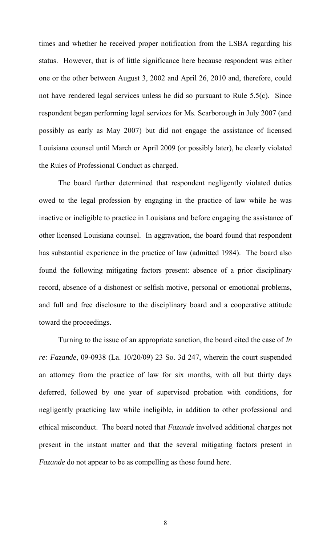times and whether he received proper notification from the LSBA regarding his status. However, that is of little significance here because respondent was either one or the other between August 3, 2002 and April 26, 2010 and, therefore, could not have rendered legal services unless he did so pursuant to Rule 5.5(c). Since respondent began performing legal services for Ms. Scarborough in July 2007 (and possibly as early as May 2007) but did not engage the assistance of licensed Louisiana counsel until March or April 2009 (or possibly later), he clearly violated the Rules of Professional Conduct as charged.

 The board further determined that respondent negligently violated duties owed to the legal profession by engaging in the practice of law while he was inactive or ineligible to practice in Louisiana and before engaging the assistance of other licensed Louisiana counsel. In aggravation, the board found that respondent has substantial experience in the practice of law (admitted 1984). The board also found the following mitigating factors present: absence of a prior disciplinary record, absence of a dishonest or selfish motive, personal or emotional problems, and full and free disclosure to the disciplinary board and a cooperative attitude toward the proceedings.

 Turning to the issue of an appropriate sanction, the board cited the case of *In re: Fazande*, 09-0938 (La. 10/20/09) 23 So. 3d 247, wherein the court suspended an attorney from the practice of law for six months, with all but thirty days deferred, followed by one year of supervised probation with conditions, for negligently practicing law while ineligible, in addition to other professional and ethical misconduct. The board noted that *Fazande* involved additional charges not present in the instant matter and that the several mitigating factors present in *Fazande* do not appear to be as compelling as those found here.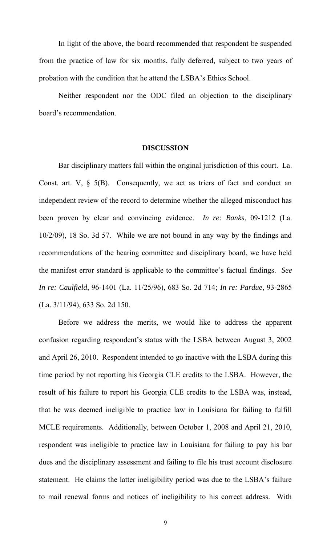In light of the above, the board recommended that respondent be suspended from the practice of law for six months, fully deferred, subject to two years of probation with the condition that he attend the LSBA's Ethics School.

 Neither respondent nor the ODC filed an objection to the disciplinary board's recommendation.

#### **DISCUSSION**

 Bar disciplinary matters fall within the original jurisdiction of this court. La. Const. art.  $V$ ,  $\S$  5(B). Consequently, we act as triers of fact and conduct an independent review of the record to determine whether the alleged misconduct has been proven by clear and convincing evidence. *In re: Banks*, 09-1212 (La. 10/2/09), 18 So. 3d 57. While we are not bound in any way by the findings and recommendations of the hearing committee and disciplinary board, we have held the manifest error standard is applicable to the committee's factual findings. *See In re: Caulfield*, 96-1401 (La. 11/25/96), 683 So. 2d 714; *In re: Pardue*, 93-2865 (La. 3/11/94), 633 So. 2d 150.

 Before we address the merits, we would like to address the apparent confusion regarding respondent's status with the LSBA between August 3, 2002 and April 26, 2010. Respondent intended to go inactive with the LSBA during this time period by not reporting his Georgia CLE credits to the LSBA. However, the result of his failure to report his Georgia CLE credits to the LSBA was, instead, that he was deemed ineligible to practice law in Louisiana for failing to fulfill MCLE requirements. Additionally, between October 1, 2008 and April 21, 2010, respondent was ineligible to practice law in Louisiana for failing to pay his bar dues and the disciplinary assessment and failing to file his trust account disclosure statement. He claims the latter ineligibility period was due to the LSBA's failure to mail renewal forms and notices of ineligibility to his correct address. With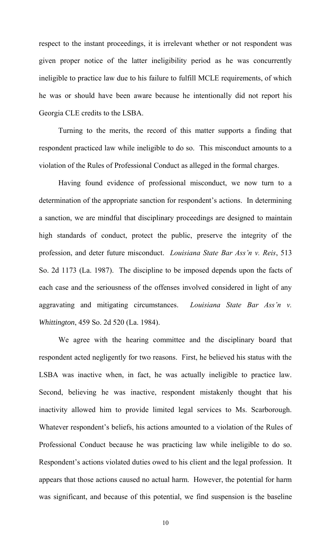respect to the instant proceedings, it is irrelevant whether or not respondent was given proper notice of the latter ineligibility period as he was concurrently ineligible to practice law due to his failure to fulfill MCLE requirements, of which he was or should have been aware because he intentionally did not report his Georgia CLE credits to the LSBA.

Turning to the merits, the record of this matter supports a finding that respondent practiced law while ineligible to do so. This misconduct amounts to a violation of the Rules of Professional Conduct as alleged in the formal charges.

 Having found evidence of professional misconduct, we now turn to a determination of the appropriate sanction for respondent's actions. In determining a sanction, we are mindful that disciplinary proceedings are designed to maintain high standards of conduct, protect the public, preserve the integrity of the profession, and deter future misconduct. *Louisiana State Bar Ass'n v. Reis*, 513 So. 2d 1173 (La. 1987). The discipline to be imposed depends upon the facts of each case and the seriousness of the offenses involved considered in light of any aggravating and mitigating circumstances. *Louisiana State Bar Ass'n v. Whittington*, 459 So. 2d 520 (La. 1984).

 We agree with the hearing committee and the disciplinary board that respondent acted negligently for two reasons. First, he believed his status with the LSBA was inactive when, in fact, he was actually ineligible to practice law. Second, believing he was inactive, respondent mistakenly thought that his inactivity allowed him to provide limited legal services to Ms. Scarborough. Whatever respondent's beliefs, his actions amounted to a violation of the Rules of Professional Conduct because he was practicing law while ineligible to do so. Respondent's actions violated duties owed to his client and the legal profession. It appears that those actions caused no actual harm. However, the potential for harm was significant, and because of this potential, we find suspension is the baseline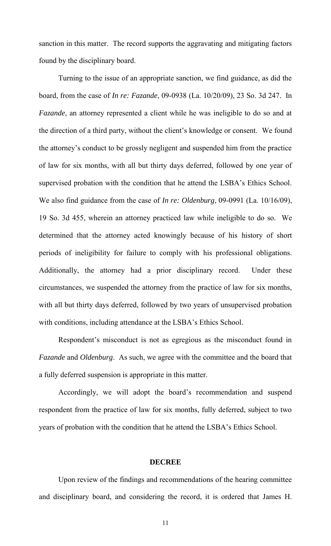sanction in this matter. The record supports the aggravating and mitigating factors found by the disciplinary board.

 Turning to the issue of an appropriate sanction, we find guidance, as did the board, from the case of *In re: Fazande*, 09-0938 (La. 10/20/09), 23 So. 3d 247. In *Fazande*, an attorney represented a client while he was ineligible to do so and at the direction of a third party, without the client's knowledge or consent. We found the attorney's conduct to be grossly negligent and suspended him from the practice of law for six months, with all but thirty days deferred, followed by one year of supervised probation with the condition that he attend the LSBA's Ethics School. We also find guidance from the case of *In re: Oldenburg*, 09-0991 (La. 10/16/09), 19 So. 3d 455, wherein an attorney practiced law while ineligible to do so. We determined that the attorney acted knowingly because of his history of short periods of ineligibility for failure to comply with his professional obligations. Additionally, the attorney had a prior disciplinary record. Under these circumstances, we suspended the attorney from the practice of law for six months, with all but thirty days deferred, followed by two years of unsupervised probation with conditions, including attendance at the LSBA's Ethics School.

 Respondent's misconduct is not as egregious as the misconduct found in *Fazande* and *Oldenburg*. As such, we agree with the committee and the board that a fully deferred suspension is appropriate in this matter.

 Accordingly, we will adopt the board's recommendation and suspend respondent from the practice of law for six months, fully deferred, subject to two years of probation with the condition that he attend the LSBA's Ethics School.

#### **DECREE**

 Upon review of the findings and recommendations of the hearing committee and disciplinary board, and considering the record, it is ordered that James H.